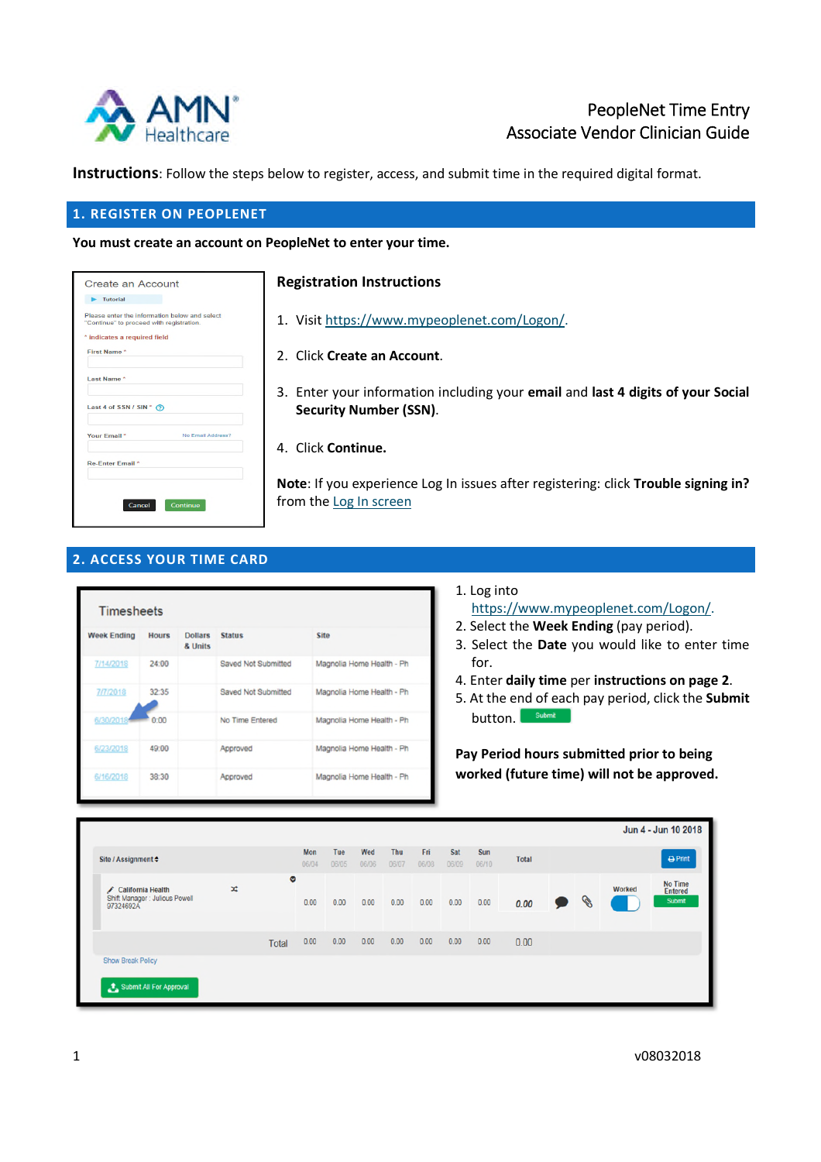

# PeopleNet Time Entry Associate Vendor Clinician Guide

**Instructions**: Follow the steps below to register, access, and submit time in the required digital format.

### **1. REGISTER ON PEOPLENET**

**You must create an account on PeopleNet to enter your time.**

| $\blacktriangleright$ Tutorial           |                                               |
|------------------------------------------|-----------------------------------------------|
| "Continue" to proceed with registration. | Please enter the information below and select |
| * indicates a required field             |                                               |
| First Name*                              |                                               |
|                                          |                                               |
|                                          |                                               |
| Last Name*                               |                                               |
|                                          |                                               |
| Last 4 of SSN / SIN $\hat{O}$            |                                               |
| Your Email <sup>*</sup>                  | No Email Address?                             |
| <b>Re-Enter Email*</b>                   |                                               |
|                                          |                                               |
|                                          |                                               |

## **Registration Instructions**

- 1. Visit https://www.mypeoplenet.com/Logon/.
- 2. Click **Create an Account**.
- 3. Enter your information including your **email** and **last 4 digits of your Social Security Number (SSN)**.
- 4. Click **Continue.**

**Note**: If you experience Log In issues after registering: click **Trouble signing in?** from the Log In screen

# **2. ACCESS YOUR TIME CARD**

| <b>Timesheets</b>  |              |                           |                            |                           |  |  |  |  |  |
|--------------------|--------------|---------------------------|----------------------------|---------------------------|--|--|--|--|--|
| <b>Week Ending</b> | <b>Hours</b> | <b>Dollars</b><br>& Units | <b>Status</b>              | <b>Site</b>               |  |  |  |  |  |
| 7/14/2018          | 24:00        |                           | <b>Saved Not Submitted</b> | Magnolia Home Health - Ph |  |  |  |  |  |
| 7/7/2018           | 32:35        |                           | Saved Not Submitted        | Magnolia Home Health - Ph |  |  |  |  |  |
| 6/30/2018          | 0:00         |                           | No Time Entered            | Magnolia Home Health - Ph |  |  |  |  |  |
| 6/23/2018          | 49:00        |                           | Approved                   | Magnolia Home Health - Ph |  |  |  |  |  |
| 6/16/2018          | 38:30        |                           | Approved                   | Magnolia Home Health - Ph |  |  |  |  |  |

1. Log into

https://www.mypeoplenet.com/Logon/.

- 2. Select the **Week Ending** (pay period).
- 3. Select the **Date** you would like to enter time for.
- 4. Enter **daily time** per **instructions on page 2**.
- 5. At the end of each pay period, click the **Submit** button. **Submit**

**Pay Period hours submitted prior to being worked (future time) will not be approved.**

|                                                                    |   |       |                     |              |              |              |              |              |              |              |   |               | Jun 4 - Jun 10 2018                        |
|--------------------------------------------------------------------|---|-------|---------------------|--------------|--------------|--------------|--------------|--------------|--------------|--------------|---|---------------|--------------------------------------------|
| Site / Assignment ≑                                                |   |       | <b>Mon</b><br>06/04 | Tue<br>06/05 | Wed<br>06/06 | Thu<br>06/07 | Fri<br>06/08 | Sat<br>06/09 | Sun<br>06/10 | <b>Total</b> |   |               | $\Theta$ Print                             |
| ✔ California Health<br>Shift Manager : Julious Powell<br>97324692A | × | ø     | 0.00                | 0.00         | 0.00         | 0.00         | 0.00         | 0.00         | 0.00         | 0.00         | P | <b>Worked</b> | <b>No Time</b><br><b>Entered</b><br>Submit |
|                                                                    |   | Total | 0.00                | 0.00         | 0.00         | 0.00         | 0.00         | 0.00         | 0.00         | 0.00         |   |               |                                            |
| <b>Show Break Policy</b><br>Submit All For Approval                |   |       |                     |              |              |              |              |              |              |              |   |               |                                            |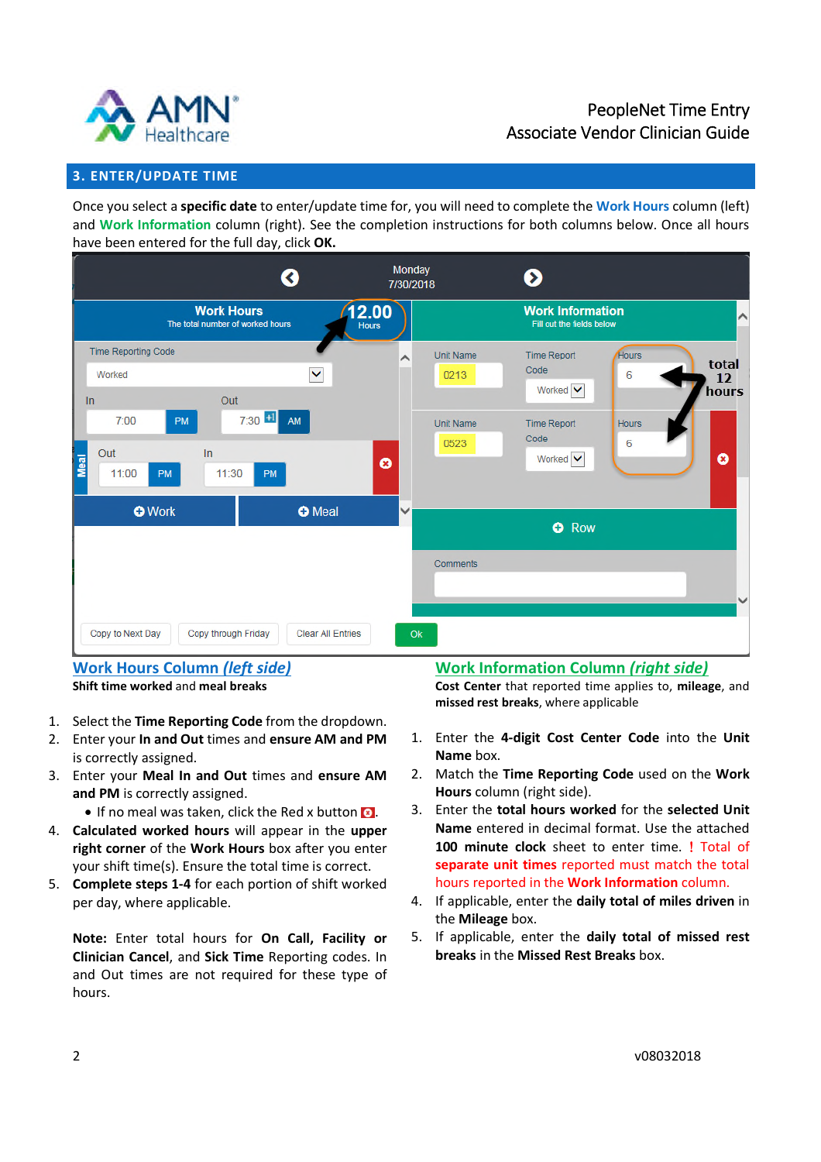



# **3. ENTER/UPDATE TIME**

Once you select a **specific date** to enter/update time for, you will need to complete the **Work Hours** column (left) and **Work Information** column (right). See the completion instructions for both columns below. Once all hours have been entered for the full day, click **OK.**



### **Work Hours Column** *(left side)* **Shift time worked** and **meal breaks**

1. Select the **Time Reporting Code** from the dropdown.

- 2. Enter your **In and Out** times and **ensure AM and PM** is correctly assigned.
- 3. Enter your **Meal In and Out** times and **ensure AM and PM** is correctly assigned.
	- $\bullet$  If no meal was taken, click the Red x button  $\bullet$ .
- 4. **Calculated worked hours** will appear in the **upper right corner** of the **Work Hours** box after you enter your shift time(s). Ensure the total time is correct.
- 5. **Complete steps 1-4** for each portion of shift worked per day, where applicable.

**Note:** Enter total hours for **On Call, Facility or Clinician Cancel**, and **Sick Time** Reporting codes. In and Out times are not required for these type of hours.

# **Work Information Column** *(right side)*

**Cost Center** that reported time applies to, **mileage**, and **missed rest breaks**, where applicable

- 1. Enter the **4-digit Cost Center Code** into the **Unit Name** box.
- 2. Match the **Time Reporting Code** used on the **Work Hours** column (right side).
- 3. Enter the **total hours worked** for the **selected Unit Name** entered in decimal format. Use the attached 100 minute clock sheet to enter time. **!** Total of **separate unit times** reported must match the total hours reported in the **Work Information** column.
- 4. If applicable, enter the **daily total of miles driven** in the **Mileage** box.
- 5. If applicable, enter the **daily total of missed rest breaks** in the **Missed Rest Breaks** box.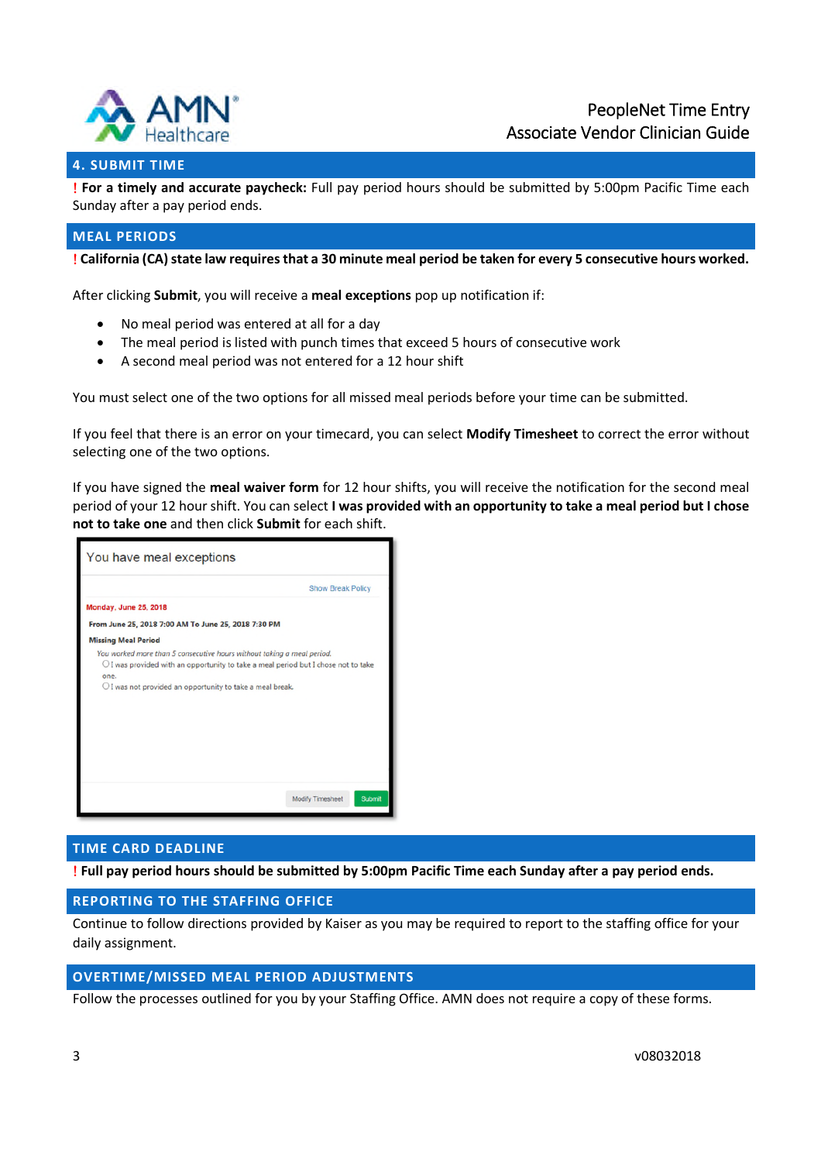

# **4. SUBMIT TIME**

 **For a timely and accurate paycheck:** Full pay period hours should be submitted by 5:00pm Pacific Time each Sunday after a pay period ends.

## **MEAL PERIODS**

**California (CA) state law requires that a 30 minute meal period be taken for every 5 consecutive hours worked.**

After clicking **Submit**, you will receive a **meal exceptions** pop up notification if:

- No meal period was entered at all for a day
- The meal period is listed with punch times that exceed 5 hours of consecutive work
- A second meal period was not entered for a 12 hour shift

You must select one of the two options for all missed meal periods before your time can be submitted.

If you feel that there is an error on your timecard, you can select **Modify Timesheet** to correct the error without selecting one of the two options.

If you have signed the **meal waiver form** for 12 hour shifts, you will receive the notification for the second meal period of your 12 hour shift. You can select **I was provided with an opportunity to take a meal period but I chose not to take one** and then click **Submit** for each shift.



## **TIME CARD DEADLINE**

**Full pay period hours should be submitted by 5:00pm Pacific Time each Sunday after a pay period ends.**

#### **REPORTING TO THE STAFFING OFFICE**

Continue to follow directions provided by Kaiser as you may be required to report to the staffing office for your daily assignment.

## **OVERTIME/MISSED MEAL PERIOD ADJUSTMENTS**

Follow the processes outlined for you by your Staffing Office. AMN does not require a copy of these forms.